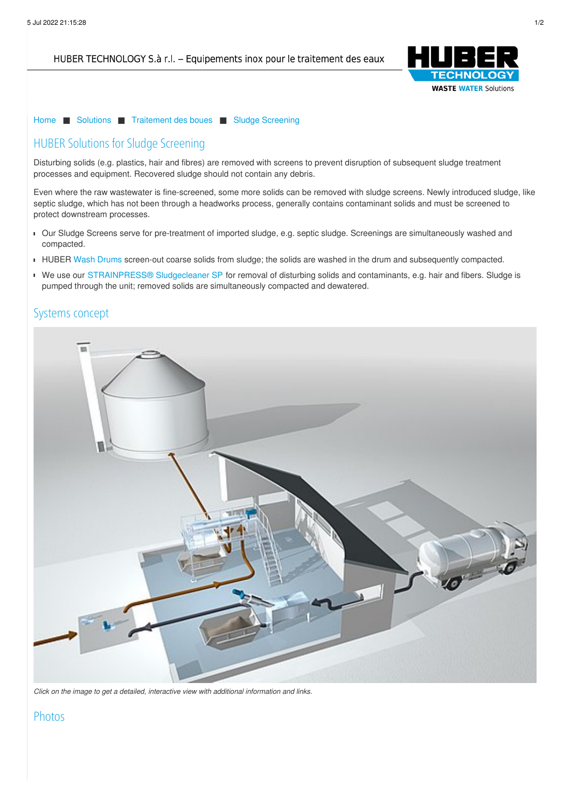HUBER TECHNOLOGY S.à r.l. - Equipements inox pour le traitement des eaux



[Home](/fr.html) ■ [Solutions](/fr/solutions.html) ■ [Traitement](/fr/solutions/traitement-des-boues.html) des boues ■ Sludge [Screening](/fr/solutions/traitement-des-boues/sludge-screening.html)

# HUBER Solutions for Sludge Screening

Disturbing solids (e.g. plastics, hair and fibres) are removed with screens to prevent disruption of subsequent sludge treatment processes and equipment. Recovered sludge should not contain any debris.

Even where the raw wastewater is fine-screened, some more solids can be removed with sludge screens. Newly introduced sludge, like septic sludge, which has not been through a headworks process, generally contains contaminant solids and must be screened to protect downstream processes.

- Our Sludge Screens serve for pre-treatment of imported sludge, e.g. septic sludge. Screenings are simultaneously washed and compacted.
- HUBER Wash [Drums](https://www.huber.de/fr/produits/separation-et-traitement-des-sables/agregats/huber-trommel-de-lavage-rosf9.html) screen-out coarse solids from sludge; the solids are washed in the drum and subsequently compacted.
- We use our [STRAINPRESS®](https://www.huber.de/fr/produits/traitement-des-boues/tamisage.html) [Sludgecleaner](https://www.huber.de/fr/produits/traitement-des-boues/tamisage.html) SP for removal of disturbing solids and contaminants, e.g. hair and fibers. Sludge is pumped through the unit; removed solids are simultaneously compacted and dewatered.

## Systems [concept](/fr/mentions-juridiques.html)



*Click on the image to get a detailed, interactive view with additional information and links.*

## Photos